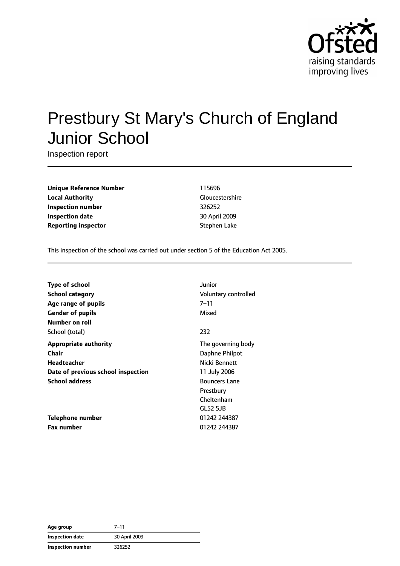

# Prestbury St Mary's Church of England Junior School

Inspection report

**Unique Reference Number** 115696 **Local Authority** Gloucestershire **Inspection number** 326252 **Inspection date** 30 April 2009 **Reporting inspector** Stephen Lake

This inspection of the school was carried out under section 5 of the Education Act 2005.

| Junior<br><b>Type of school</b>    |                             |
|------------------------------------|-----------------------------|
| <b>School category</b>             | <b>Voluntary controlled</b> |
| $7 - 11$<br>Age range of pupils    |                             |
| Mixed<br><b>Gender of pupils</b>   |                             |
| Number on roll                     |                             |
| 232<br>School (total)              |                             |
| <b>Appropriate authority</b>       | The governing body          |
| Chair                              | Daphne Philpot              |
| <b>Headteacher</b>                 | Nicki Bennett               |
| Date of previous school inspection | 11 July 2006                |
| <b>School address</b>              | <b>Bouncers Lane</b>        |
|                                    | Prestbury                   |
|                                    | Cheltenham                  |
|                                    | GL52 5JB                    |
| Telephone number                   | 01242 244387                |
| <b>Fax number</b>                  | 01242 244387                |

| Age group              | 7–11          |
|------------------------|---------------|
| <b>Inspection date</b> | 30 April 2009 |
| Inspection number      | 326252        |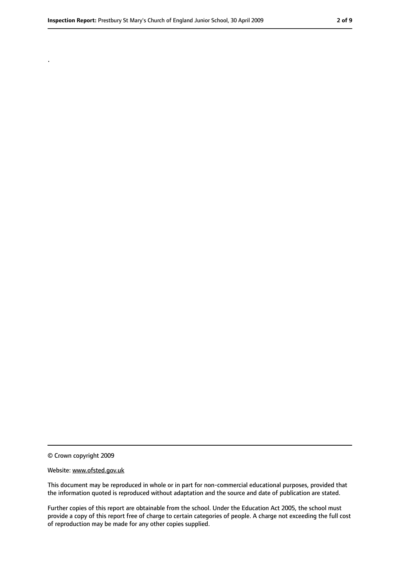© Crown copyright 2009

.

#### Website: www.ofsted.gov.uk

This document may be reproduced in whole or in part for non-commercial educational purposes, provided that the information quoted is reproduced without adaptation and the source and date of publication are stated.

Further copies of this report are obtainable from the school. Under the Education Act 2005, the school must provide a copy of this report free of charge to certain categories of people. A charge not exceeding the full cost of reproduction may be made for any other copies supplied.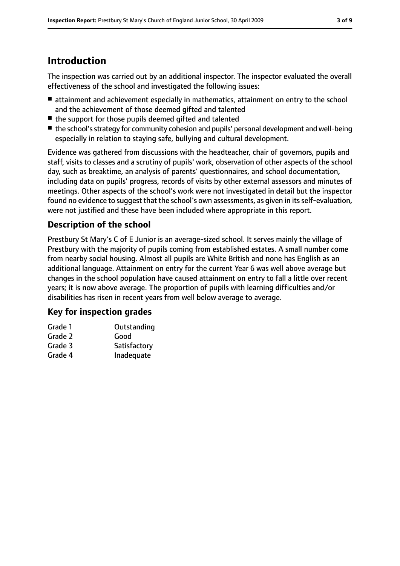# **Introduction**

The inspection was carried out by an additional inspector. The inspector evaluated the overall effectiveness of the school and investigated the following issues:

- attainment and achievement especially in mathematics, attainment on entry to the school and the achievement of those deemed gifted and talented
- the support for those pupils deemed gifted and talented
- the school's strategy for community cohesion and pupils' personal development and well-being especially in relation to staying safe, bullying and cultural development.

Evidence was gathered from discussions with the headteacher, chair of governors, pupils and staff, visits to classes and a scrutiny of pupils' work, observation of other aspects of the school day, such as breaktime, an analysis of parents' questionnaires, and school documentation, including data on pupils' progress, records of visits by other external assessors and minutes of meetings. Other aspects of the school's work were not investigated in detail but the inspector found no evidence to suggest that the school's own assessments, as given in itsself-evaluation, were not justified and these have been included where appropriate in this report.

## **Description of the school**

Prestbury St Mary's C of E Junior is an average-sized school. It serves mainly the village of Prestbury with the majority of pupils coming from established estates. A small number come from nearby social housing. Almost all pupils are White British and none has English as an additional language. Attainment on entry for the current Year 6 was well above average but changes in the school population have caused attainment on entry to fall a little over recent years; it is now above average. The proportion of pupils with learning difficulties and/or disabilities has risen in recent years from well below average to average.

#### **Key for inspection grades**

| Grade 1 | Outstanding  |
|---------|--------------|
| Grade 2 | Good         |
| Grade 3 | Satisfactory |
| Grade 4 | Inadequate   |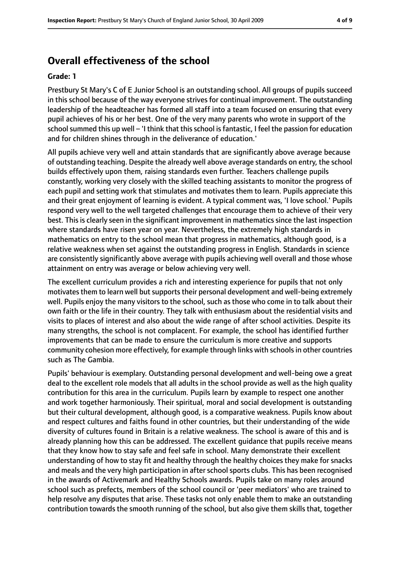# **Overall effectiveness of the school**

#### **Grade: 1**

Prestbury St Mary's C of E Junior School is an outstanding school. All groups of pupils succeed in this school because of the way everyone strives for continual improvement. The outstanding leadership of the headteacher has formed all staff into a team focused on ensuring that every pupil achieves of his or her best. One of the very many parents who wrote in support of the school summed this up well – 'I think that this school is fantastic, I feel the passion for education and for children shines through in the deliverance of education.'

All pupils achieve very well and attain standards that are significantly above average because of outstanding teaching. Despite the already well above average standards on entry, the school builds effectively upon them, raising standards even further. Teachers challenge pupils constantly, working very closely with the skilled teaching assistants to monitor the progress of each pupil and setting work that stimulates and motivates them to learn. Pupils appreciate this and their great enjoyment of learning is evident. A typical comment was, 'I love school.' Pupils respond very well to the well targeted challenges that encourage them to achieve of their very best. This is clearly seen in the significant improvement in mathematics since the last inspection where standards have risen year on year. Nevertheless, the extremely high standards in mathematics on entry to the school mean that progress in mathematics, although good, is a relative weakness when set against the outstanding progress in English. Standards in science are consistently significantly above average with pupils achieving well overall and those whose attainment on entry was average or below achieving very well.

The excellent curriculum provides a rich and interesting experience for pupils that not only motivates them to learn well but supports their personal development and well-being extremely well. Pupils enjoy the many visitors to the school, such as those who come in to talk about their own faith or the life in their country. They talk with enthusiasm about the residential visits and visits to places of interest and also about the wide range of after school activities. Despite its many strengths, the school is not complacent. For example, the school has identified further improvements that can be made to ensure the curriculum is more creative and supports community cohesion more effectively, for example through links with schools in other countries such as The Gambia.

Pupils' behaviour is exemplary. Outstanding personal development and well-being owe a great deal to the excellent role models that all adults in the school provide as well as the high quality contribution for this area in the curriculum. Pupils learn by example to respect one another and work together harmoniously. Their spiritual, moral and social development is outstanding but their cultural development, although good, is a comparative weakness. Pupils know about and respect cultures and faiths found in other countries, but their understanding of the wide diversity of cultures found in Britain is a relative weakness. The school is aware of this and is already planning how this can be addressed. The excellent guidance that pupils receive means that they know how to stay safe and feel safe in school. Many demonstrate their excellent understanding of how to stay fit and healthy through the healthy choices they make for snacks and meals and the very high participation in after school sports clubs. This has been recognised in the awards of Activemark and Healthy Schools awards. Pupils take on many roles around school such as prefects, members of the school council or 'peer mediators' who are trained to help resolve any disputes that arise. These tasks not only enable them to make an outstanding contribution towards the smooth running of the school, but also give them skills that, together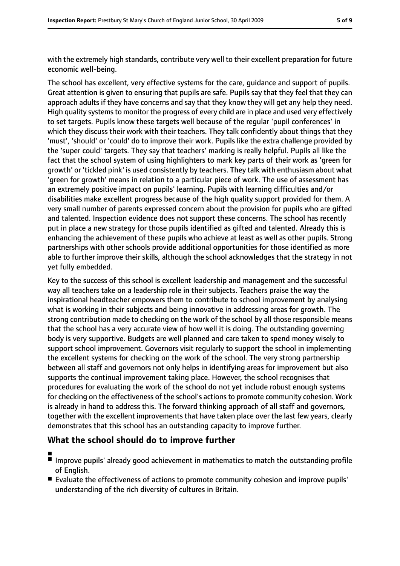with the extremely high standards, contribute very well to their excellent preparation for future economic well-being.

The school has excellent, very effective systems for the care, guidance and support of pupils. Great attention is given to ensuring that pupils are safe. Pupils say that they feel that they can approach adults if they have concerns and say that they know they will get any help they need. High quality systems to monitor the progress of every child are in place and used very effectively to set targets. Pupils know these targets well because of the regular 'pupil conferences' in which they discuss their work with their teachers. They talk confidently about things that they 'must', 'should' or 'could' do to improve their work. Pupils like the extra challenge provided by the 'super could' targets. They say that teachers' marking is really helpful. Pupils all like the fact that the school system of using highlighters to mark key parts of their work as 'green for growth' or 'tickled pink' is used consistently by teachers. They talk with enthusiasm about what 'green for growth' means in relation to a particular piece of work. The use of assessment has an extremely positive impact on pupils' learning. Pupils with learning difficulties and/or disabilities make excellent progress because of the high quality support provided for them. A very small number of parents expressed concern about the provision for pupils who are gifted and talented. Inspection evidence does not support these concerns. The school has recently put in place a new strategy for those pupils identified as gifted and talented. Already this is enhancing the achievement of these pupils who achieve at least as well as other pupils. Strong partnerships with other schools provide additional opportunities for those identified as more able to further improve their skills, although the school acknowledges that the strategy in not yet fully embedded.

Key to the success of this school is excellent leadership and management and the successful way all teachers take on a leadership role in their subjects. Teachers praise the way the inspirational headteacher empowers them to contribute to school improvement by analysing what is working in their subjects and being innovative in addressing areas for growth. The strong contribution made to checking on the work of the school by all those responsible means that the school has a very accurate view of how well it is doing. The outstanding governing body is very supportive. Budgets are well planned and care taken to spend money wisely to support school improvement. Governors visit regularly to support the school in implementing the excellent systems for checking on the work of the school. The very strong partnership between all staff and governors not only helps in identifying areas for improvement but also supports the continual improvement taking place. However, the school recognises that procedures for evaluating the work of the school do not yet include robust enough systems for checking on the effectiveness of the school's actions to promote community cohesion. Work is already in hand to address this. The forward thinking approach of all staff and governors, together with the excellent improvements that have taken place over the last few years, clearly demonstrates that this school has an outstanding capacity to improve further.

## **What the school should do to improve further**

- ■
- Improve pupils' already good achievement in mathematics to match the outstanding profile of English.
- Evaluate the effectiveness of actions to promote community cohesion and improve pupils' understanding of the rich diversity of cultures in Britain.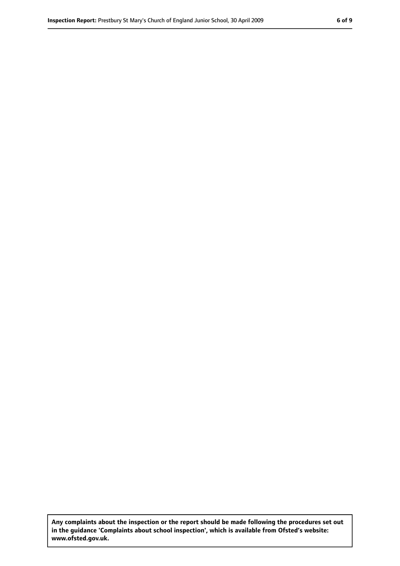**Any complaints about the inspection or the report should be made following the procedures set out in the guidance 'Complaints about school inspection', which is available from Ofsted's website: www.ofsted.gov.uk.**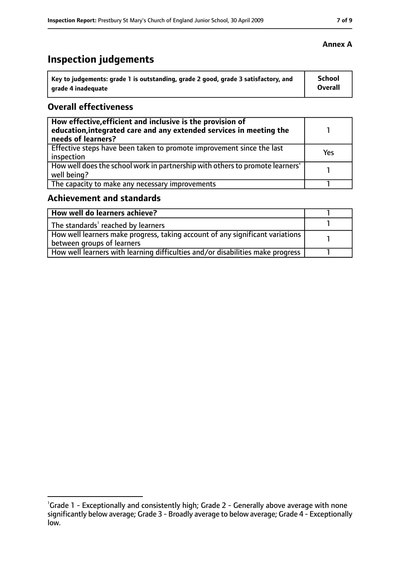# **Inspection judgements**

| Key to judgements: grade 1 is outstanding, grade 2 good, grade 3 satisfactory, and | <b>School</b>  |
|------------------------------------------------------------------------------------|----------------|
| arade 4 inadequate                                                                 | <b>Overall</b> |

#### **Overall effectiveness**

| How effective, efficient and inclusive is the provision of<br>education, integrated care and any extended services in meeting the<br>needs of learners? |            |
|---------------------------------------------------------------------------------------------------------------------------------------------------------|------------|
| Effective steps have been taken to promote improvement since the last<br>inspection                                                                     | <b>Yes</b> |
| How well does the school work in partnership with others to promote learners'<br>well being?                                                            |            |
| The capacity to make any necessary improvements                                                                                                         |            |

# **Achievement and standards**

| How well do learners achieve?                                                                                 |  |
|---------------------------------------------------------------------------------------------------------------|--|
| The standards <sup>1</sup> reached by learners                                                                |  |
| How well learners make progress, taking account of any significant variations  <br>between groups of learners |  |
| How well learners with learning difficulties and/or disabilities make progress                                |  |

#### **Annex A**

<sup>&</sup>lt;sup>1</sup>Grade 1 - Exceptionally and consistently high; Grade 2 - Generally above average with none significantly below average; Grade 3 - Broadly average to below average; Grade 4 - Exceptionally low.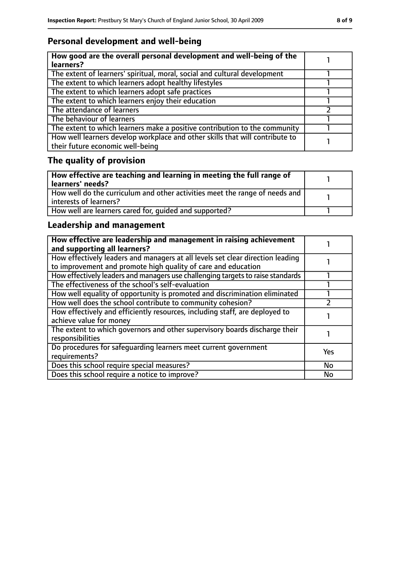## **Personal development and well-being**

| How good are the overall personal development and well-being of the<br>learners?                                 |  |
|------------------------------------------------------------------------------------------------------------------|--|
| The extent of learners' spiritual, moral, social and cultural development                                        |  |
| The extent to which learners adopt healthy lifestyles                                                            |  |
| The extent to which learners adopt safe practices                                                                |  |
| The extent to which learners enjoy their education                                                               |  |
| The attendance of learners                                                                                       |  |
| The behaviour of learners                                                                                        |  |
| The extent to which learners make a positive contribution to the community                                       |  |
| How well learners develop workplace and other skills that will contribute to<br>their future economic well-being |  |

# **The quality of provision**

| How effective are teaching and learning in meeting the full range of<br>learners' needs?                |  |
|---------------------------------------------------------------------------------------------------------|--|
| How well do the curriculum and other activities meet the range of needs and<br>  interests of learners? |  |
| How well are learners cared for, quided and supported?                                                  |  |

## **Leadership and management**

| How effective are leadership and management in raising achievement<br>and supporting all learners?                                              |           |
|-------------------------------------------------------------------------------------------------------------------------------------------------|-----------|
| How effectively leaders and managers at all levels set clear direction leading<br>to improvement and promote high quality of care and education |           |
| How effectively leaders and managers use challenging targets to raise standards                                                                 |           |
| The effectiveness of the school's self-evaluation                                                                                               |           |
| How well equality of opportunity is promoted and discrimination eliminated                                                                      |           |
| How well does the school contribute to community cohesion?                                                                                      |           |
| How effectively and efficiently resources, including staff, are deployed to<br>achieve value for money                                          |           |
| The extent to which governors and other supervisory boards discharge their<br>responsibilities                                                  |           |
| Do procedures for safequarding learners meet current government<br>requirements?                                                                | Yes       |
| Does this school require special measures?                                                                                                      | <b>No</b> |
| Does this school require a notice to improve?                                                                                                   | <b>No</b> |